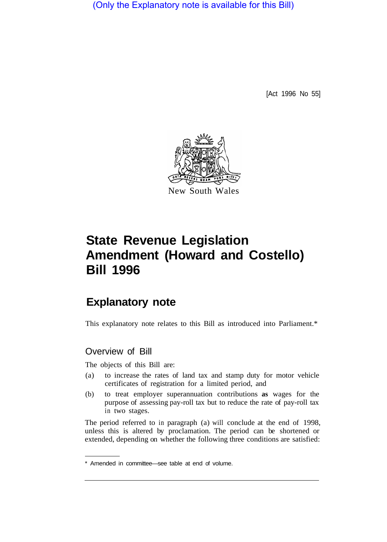(Only the Explanatory note is available for this Bill)

[Act 1996 No 55]



# **State Revenue Legislation Amendment (Howard and Costello) Bill 1996**

# **Explanatory note**

This explanatory note relates to this Bill as introduced into Parliament.\*

# Overview of Bill

The objects of this Bill are:

- (a) to increase the rates of land tax and stamp duty for motor vehicle certificates of registration for a limited period, and
- (b) to treat employer superannuation contributions **as** wages for the purpose of assessing pay-roll tax but to reduce the rate of pay-roll tax in two stages.

The period referred to in paragraph (a) will conclude at the end of 1998, unless this is altered by proclamation. The period can be shortened or extended, depending on whether the following three conditions are satisfied:

<sup>\*</sup> Amended in committee—see table at end of volume.